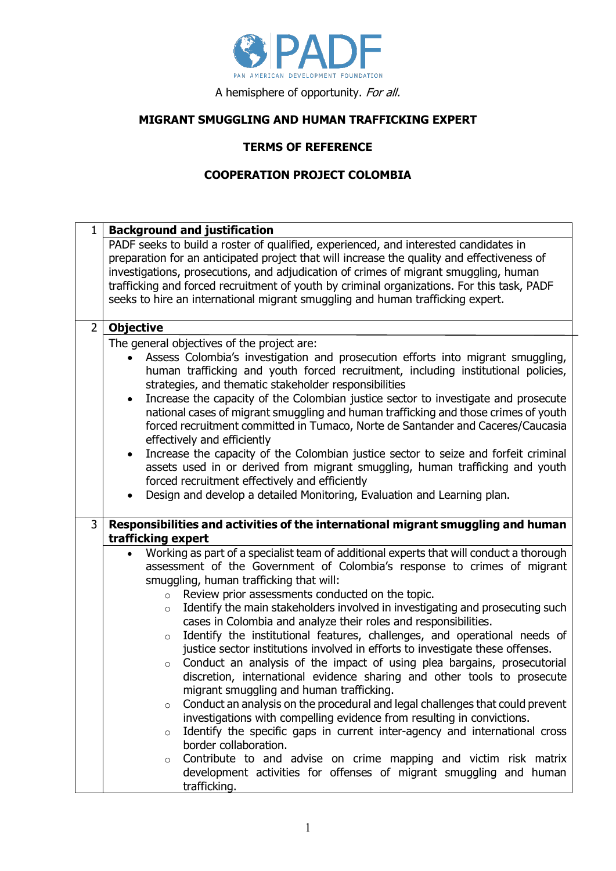

A hemisphere of opportunity. For all.

## **MIGRANT SMUGGLING AND HUMAN TRAFFICKING EXPERT**

## **TERMS OF REFERENCE**

## **COOPERATION PROJECT COLOMBIA**

| 1              | <b>Background and justification</b>                                                                                                                         |  |  |
|----------------|-------------------------------------------------------------------------------------------------------------------------------------------------------------|--|--|
|                | PADF seeks to build a roster of qualified, experienced, and interested candidates in                                                                        |  |  |
|                | preparation for an anticipated project that will increase the quality and effectiveness of                                                                  |  |  |
|                | investigations, prosecutions, and adjudication of crimes of migrant smuggling, human                                                                        |  |  |
|                | trafficking and forced recruitment of youth by criminal organizations. For this task, PADF                                                                  |  |  |
|                | seeks to hire an international migrant smuggling and human trafficking expert.                                                                              |  |  |
| $\overline{2}$ | <b>Objective</b>                                                                                                                                            |  |  |
|                | The general objectives of the project are:                                                                                                                  |  |  |
|                | Assess Colombia's investigation and prosecution efforts into migrant smuggling,                                                                             |  |  |
|                | human trafficking and youth forced recruitment, including institutional policies,                                                                           |  |  |
|                | strategies, and thematic stakeholder responsibilities                                                                                                       |  |  |
|                | Increase the capacity of the Colombian justice sector to investigate and prosecute<br>$\bullet$                                                             |  |  |
|                | national cases of migrant smuggling and human trafficking and those crimes of youth                                                                         |  |  |
|                | forced recruitment committed in Tumaco, Norte de Santander and Caceres/Caucasia<br>effectively and efficiently                                              |  |  |
|                | Increase the capacity of the Colombian justice sector to seize and forfeit criminal<br>$\bullet$                                                            |  |  |
|                | assets used in or derived from migrant smuggling, human trafficking and youth                                                                               |  |  |
|                | forced recruitment effectively and efficiently                                                                                                              |  |  |
|                | Design and develop a detailed Monitoring, Evaluation and Learning plan.                                                                                     |  |  |
|                |                                                                                                                                                             |  |  |
| 3              | Responsibilities and activities of the international migrant smuggling and human                                                                            |  |  |
|                | trafficking expert                                                                                                                                          |  |  |
|                | Working as part of a specialist team of additional experts that will conduct a thorough<br>$\bullet$                                                        |  |  |
|                | assessment of the Government of Colombia's response to crimes of migrant                                                                                    |  |  |
|                | smuggling, human trafficking that will:                                                                                                                     |  |  |
|                | Review prior assessments conducted on the topic.<br>$\circ$                                                                                                 |  |  |
|                | Identify the main stakeholders involved in investigating and prosecuting such<br>$\circ$<br>cases in Colombia and analyze their roles and responsibilities. |  |  |
|                | Identify the institutional features, challenges, and operational needs of<br>$\circ$                                                                        |  |  |
|                | justice sector institutions involved in efforts to investigate these offenses.                                                                              |  |  |
|                | Conduct an analysis of the impact of using plea bargains, prosecutorial<br>$\circ$                                                                          |  |  |
|                | discretion, international evidence sharing and other tools to prosecute                                                                                     |  |  |
|                | migrant smuggling and human trafficking.                                                                                                                    |  |  |
|                | Conduct an analysis on the procedural and legal challenges that could prevent<br>$\circ$                                                                    |  |  |
|                | investigations with compelling evidence from resulting in convictions.                                                                                      |  |  |
|                | Identify the specific gaps in current inter-agency and international cross<br>$\circ$                                                                       |  |  |
|                | border collaboration.                                                                                                                                       |  |  |
|                | Contribute to and advise on crime mapping and victim risk matrix<br>$\circ$                                                                                 |  |  |
|                | development activities for offenses of migrant smuggling and human                                                                                          |  |  |
|                | trafficking.                                                                                                                                                |  |  |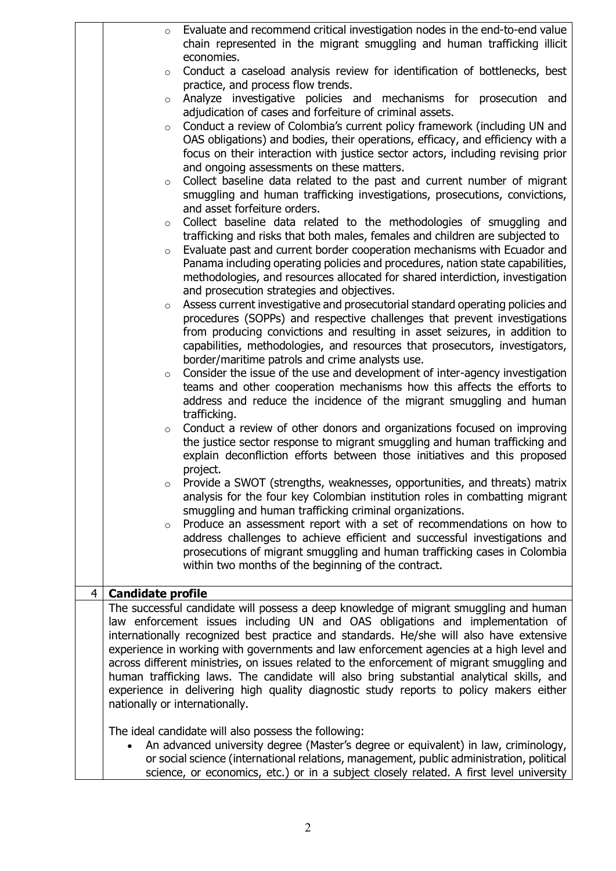|                | $\circ$                  | Evaluate and recommend critical investigation nodes in the end-to-end value<br>chain represented in the migrant smuggling and human trafficking illicit<br>economies.                                                                                                                                                                                                                                                                                                                                                                                                                                                                                                              |
|----------------|--------------------------|------------------------------------------------------------------------------------------------------------------------------------------------------------------------------------------------------------------------------------------------------------------------------------------------------------------------------------------------------------------------------------------------------------------------------------------------------------------------------------------------------------------------------------------------------------------------------------------------------------------------------------------------------------------------------------|
|                | $\circ$                  | Conduct a caseload analysis review for identification of bottlenecks, best<br>practice, and process flow trends.                                                                                                                                                                                                                                                                                                                                                                                                                                                                                                                                                                   |
|                | $\circ$                  | Analyze investigative policies and mechanisms for prosecution and<br>adjudication of cases and forfeiture of criminal assets.                                                                                                                                                                                                                                                                                                                                                                                                                                                                                                                                                      |
|                | $\circ$                  | Conduct a review of Colombia's current policy framework (including UN and<br>OAS obligations) and bodies, their operations, efficacy, and efficiency with a<br>focus on their interaction with justice sector actors, including revising prior<br>and ongoing assessments on these matters.                                                                                                                                                                                                                                                                                                                                                                                        |
|                | $\circ$                  | Collect baseline data related to the past and current number of migrant<br>smuggling and human trafficking investigations, prosecutions, convictions,<br>and asset forfeiture orders.                                                                                                                                                                                                                                                                                                                                                                                                                                                                                              |
|                | $\circ$                  | Collect baseline data related to the methodologies of smuggling and                                                                                                                                                                                                                                                                                                                                                                                                                                                                                                                                                                                                                |
|                | $\circ$                  | trafficking and risks that both males, females and children are subjected to<br>Evaluate past and current border cooperation mechanisms with Ecuador and<br>Panama including operating policies and procedures, nation state capabilities,<br>methodologies, and resources allocated for shared interdiction, investigation<br>and prosecution strategies and objectives.                                                                                                                                                                                                                                                                                                          |
|                | $\circ$                  | Assess current investigative and prosecutorial standard operating policies and<br>procedures (SOPPs) and respective challenges that prevent investigations<br>from producing convictions and resulting in asset seizures, in addition to<br>capabilities, methodologies, and resources that prosecutors, investigators,<br>border/maritime patrols and crime analysts use.                                                                                                                                                                                                                                                                                                         |
|                | $\circ$                  | Consider the issue of the use and development of inter-agency investigation<br>teams and other cooperation mechanisms how this affects the efforts to<br>address and reduce the incidence of the migrant smuggling and human<br>trafficking.                                                                                                                                                                                                                                                                                                                                                                                                                                       |
|                | $\circ$                  | Conduct a review of other donors and organizations focused on improving<br>the justice sector response to migrant smuggling and human trafficking and<br>explain deconfliction efforts between those initiatives and this proposed<br>project.                                                                                                                                                                                                                                                                                                                                                                                                                                     |
|                |                          | Provide a SWOT (strengths, weaknesses, opportunities, and threats) matrix<br>analysis for the four key Colombian institution roles in combatting migrant<br>smuggling and human trafficking criminal organizations.                                                                                                                                                                                                                                                                                                                                                                                                                                                                |
|                | $\circ$                  | Produce an assessment report with a set of recommendations on how to<br>address challenges to achieve efficient and successful investigations and<br>prosecutions of migrant smuggling and human trafficking cases in Colombia<br>within two months of the beginning of the contract.                                                                                                                                                                                                                                                                                                                                                                                              |
| $\overline{4}$ | <b>Candidate profile</b> |                                                                                                                                                                                                                                                                                                                                                                                                                                                                                                                                                                                                                                                                                    |
|                |                          | The successful candidate will possess a deep knowledge of migrant smuggling and human<br>law enforcement issues including UN and OAS obligations and implementation of<br>internationally recognized best practice and standards. He/she will also have extensive<br>experience in working with governments and law enforcement agencies at a high level and<br>across different ministries, on issues related to the enforcement of migrant smuggling and<br>human trafficking laws. The candidate will also bring substantial analytical skills, and<br>experience in delivering high quality diagnostic study reports to policy makers either<br>nationally or internationally. |
|                |                          | The ideal candidate will also possess the following:<br>An advanced university degree (Master's degree or equivalent) in law, criminology,<br>or social science (international relations, management, public administration, political<br>science, or economics, etc.) or in a subject closely related. A first level university                                                                                                                                                                                                                                                                                                                                                   |

2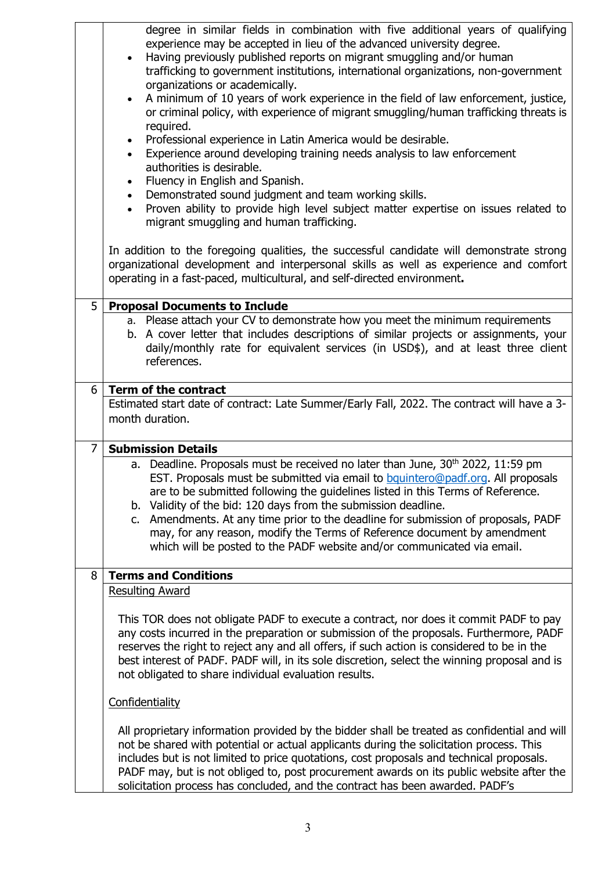|   | degree in similar fields in combination with five additional years of qualifying<br>experience may be accepted in lieu of the advanced university degree.<br>Having previously published reports on migrant smuggling and/or human<br>$\bullet$<br>trafficking to government institutions, international organizations, non-government<br>organizations or academically.<br>A minimum of 10 years of work experience in the field of law enforcement, justice,<br>$\bullet$<br>or criminal policy, with experience of migrant smuggling/human trafficking threats is<br>required.<br>Professional experience in Latin America would be desirable.<br>$\bullet$<br>Experience around developing training needs analysis to law enforcement<br>$\bullet$<br>authorities is desirable.<br>Fluency in English and Spanish.<br>$\bullet$<br>Demonstrated sound judgment and team working skills.<br>$\bullet$<br>Proven ability to provide high level subject matter expertise on issues related to<br>$\bullet$<br>migrant smuggling and human trafficking. |  |
|---|---------------------------------------------------------------------------------------------------------------------------------------------------------------------------------------------------------------------------------------------------------------------------------------------------------------------------------------------------------------------------------------------------------------------------------------------------------------------------------------------------------------------------------------------------------------------------------------------------------------------------------------------------------------------------------------------------------------------------------------------------------------------------------------------------------------------------------------------------------------------------------------------------------------------------------------------------------------------------------------------------------------------------------------------------------|--|
|   | In addition to the foregoing qualities, the successful candidate will demonstrate strong<br>organizational development and interpersonal skills as well as experience and comfort<br>operating in a fast-paced, multicultural, and self-directed environment.                                                                                                                                                                                                                                                                                                                                                                                                                                                                                                                                                                                                                                                                                                                                                                                           |  |
| 5 | <b>Proposal Documents to Include</b>                                                                                                                                                                                                                                                                                                                                                                                                                                                                                                                                                                                                                                                                                                                                                                                                                                                                                                                                                                                                                    |  |
|   | a. Please attach your CV to demonstrate how you meet the minimum requirements<br>b. A cover letter that includes descriptions of similar projects or assignments, your<br>daily/monthly rate for equivalent services (in USD\$), and at least three client<br>references.                                                                                                                                                                                                                                                                                                                                                                                                                                                                                                                                                                                                                                                                                                                                                                               |  |
| 6 | Term of the contract                                                                                                                                                                                                                                                                                                                                                                                                                                                                                                                                                                                                                                                                                                                                                                                                                                                                                                                                                                                                                                    |  |
|   | Estimated start date of contract: Late Summer/Early Fall, 2022. The contract will have a 3-                                                                                                                                                                                                                                                                                                                                                                                                                                                                                                                                                                                                                                                                                                                                                                                                                                                                                                                                                             |  |
|   | month duration.                                                                                                                                                                                                                                                                                                                                                                                                                                                                                                                                                                                                                                                                                                                                                                                                                                                                                                                                                                                                                                         |  |
| 7 | <b>Submission Details</b>                                                                                                                                                                                                                                                                                                                                                                                                                                                                                                                                                                                                                                                                                                                                                                                                                                                                                                                                                                                                                               |  |
|   | a. Deadline. Proposals must be received no later than June, 30 <sup>th</sup> 2022, 11:59 pm<br>EST. Proposals must be submitted via email to bquintero@padf.org. All proposals<br>are to be submitted following the guidelines listed in this Terms of Reference.<br>b. Validity of the bid: 120 days from the submission deadline.<br>c. Amendments. At any time prior to the deadline for submission of proposals, PADF<br>may, for any reason, modify the Terms of Reference document by amendment<br>which will be posted to the PADF website and/or communicated via email.                                                                                                                                                                                                                                                                                                                                                                                                                                                                        |  |
|   |                                                                                                                                                                                                                                                                                                                                                                                                                                                                                                                                                                                                                                                                                                                                                                                                                                                                                                                                                                                                                                                         |  |
| 8 | <b>Terms and Conditions</b>                                                                                                                                                                                                                                                                                                                                                                                                                                                                                                                                                                                                                                                                                                                                                                                                                                                                                                                                                                                                                             |  |
|   | <b>Resulting Award</b>                                                                                                                                                                                                                                                                                                                                                                                                                                                                                                                                                                                                                                                                                                                                                                                                                                                                                                                                                                                                                                  |  |
|   | This TOR does not obligate PADF to execute a contract, nor does it commit PADF to pay<br>any costs incurred in the preparation or submission of the proposals. Furthermore, PADF<br>reserves the right to reject any and all offers, if such action is considered to be in the<br>best interest of PADF. PADF will, in its sole discretion, select the winning proposal and is<br>not obligated to share individual evaluation results.                                                                                                                                                                                                                                                                                                                                                                                                                                                                                                                                                                                                                 |  |
|   | Confidentiality                                                                                                                                                                                                                                                                                                                                                                                                                                                                                                                                                                                                                                                                                                                                                                                                                                                                                                                                                                                                                                         |  |
|   | All proprietary information provided by the bidder shall be treated as confidential and will<br>not be shared with potential or actual applicants during the solicitation process. This<br>includes but is not limited to price quotations, cost proposals and technical proposals.<br>PADF may, but is not obliged to, post procurement awards on its public website after the<br>solicitation process has concluded, and the contract has been awarded. PADF's                                                                                                                                                                                                                                                                                                                                                                                                                                                                                                                                                                                        |  |